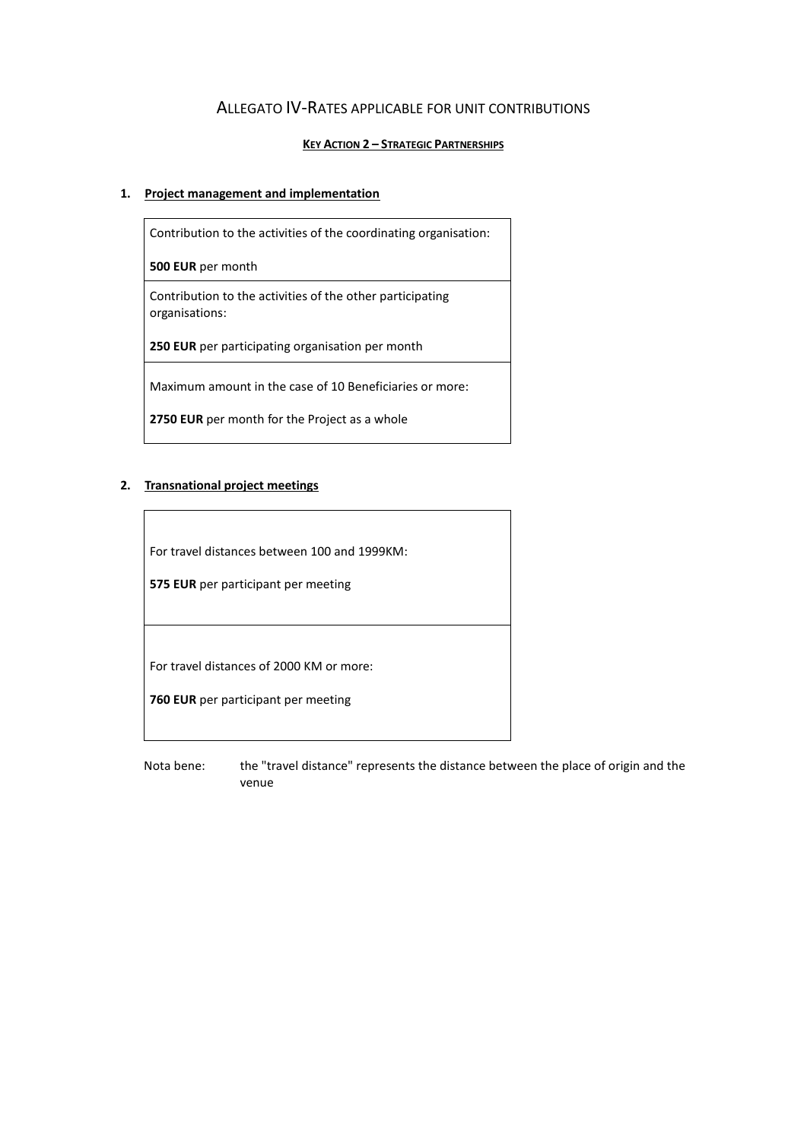## ALLEGATO IV-RATES APPLICABLE FOR UNIT CONTRIBUTIONS

#### **KEY ACTION 2 – STRATEGIC PARTNERSHIPS**

#### **1. Project management and implementation**

Contribution to the activities of the coordinating organisation: **500 EUR** per month Contribution to the activities of the other participating organisations: **250 EUR** per participating organisation per month Maximum amount in the case of 10 Beneficiaries or more: **2750 EUR** per month for the Project as a whole

### **2. Transnational project meetings**

For travel distances between 100 and 1999KM:

**575 EUR** per participant per meeting

For travel distances of 2000 KM or more:

**760 EUR** per participant per meeting

Nota bene: the "travel distance" represents the distance between the place of origin and the venue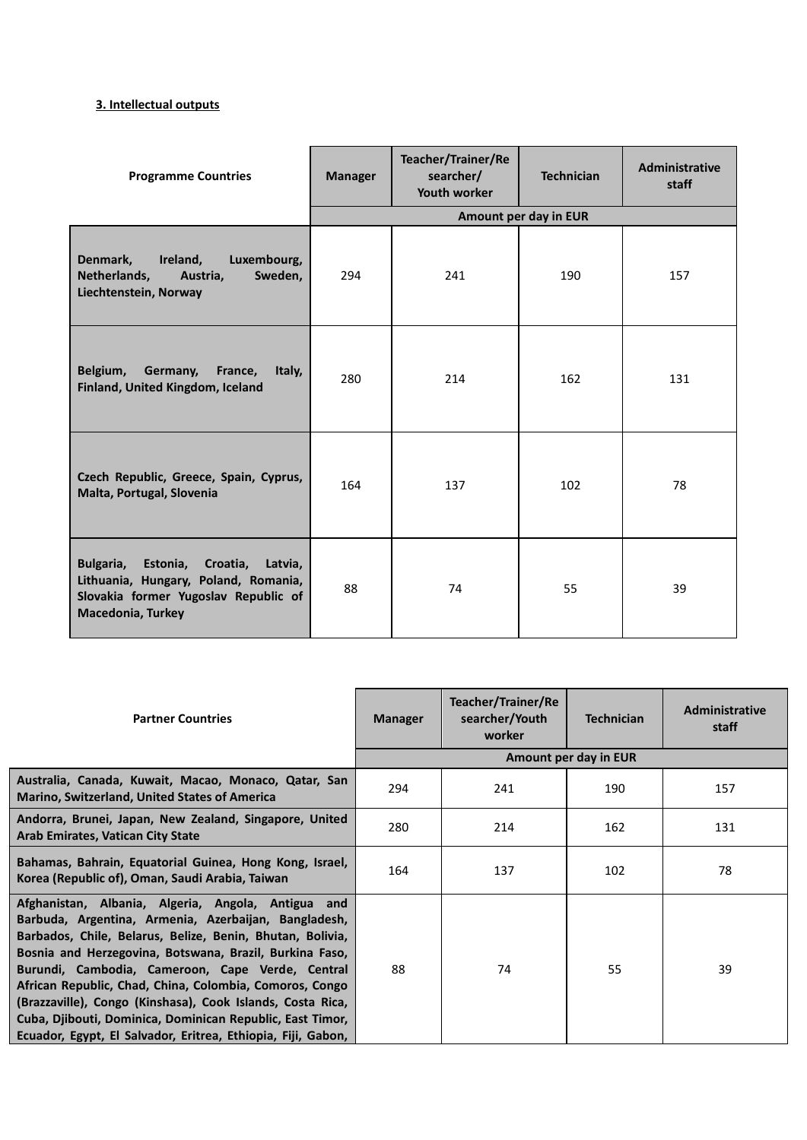## **3. Intellectual outputs**

| <b>Programme Countries</b>                                                                                                                         | <b>Manager</b> | Teacher/Trainer/Re<br>searcher/<br>Youth worker | <b>Technician</b>     | Administrative<br>staff |
|----------------------------------------------------------------------------------------------------------------------------------------------------|----------------|-------------------------------------------------|-----------------------|-------------------------|
|                                                                                                                                                    |                |                                                 | Amount per day in EUR |                         |
| Denmark,<br>Ireland,<br>Luxembourg,<br>Netherlands,<br>Sweden,<br>Austria,<br>Liechtenstein, Norway                                                | 294            | 241                                             | 190                   | 157                     |
| Belgium,<br>Germany,<br>France,<br>Italy,<br>Finland, United Kingdom, Iceland                                                                      | 280            | 214                                             | 162                   | 131                     |
| Czech Republic, Greece, Spain, Cyprus,<br>Malta, Portugal, Slovenia                                                                                | 164            | 137                                             | 102                   | 78                      |
| Bulgaria, Estonia, Croatia,<br>Latvia,<br>Lithuania, Hungary, Poland, Romania,<br>Slovakia former Yugoslav Republic of<br><b>Macedonia, Turkey</b> | 88             | 74                                              | 55                    | 39                      |

| <b>Partner Countries</b>                                                                                                                                                                                                                                                                                                                                                                                                                                                                                                                     | <b>Manager</b> | Teacher/Trainer/Re<br>searcher/Youth<br>worker | <b>Technician</b>     | Administrative<br>staff |
|----------------------------------------------------------------------------------------------------------------------------------------------------------------------------------------------------------------------------------------------------------------------------------------------------------------------------------------------------------------------------------------------------------------------------------------------------------------------------------------------------------------------------------------------|----------------|------------------------------------------------|-----------------------|-------------------------|
|                                                                                                                                                                                                                                                                                                                                                                                                                                                                                                                                              |                |                                                | Amount per day in EUR |                         |
| Australia, Canada, Kuwait, Macao, Monaco, Qatar, San<br><b>Marino, Switzerland, United States of America</b>                                                                                                                                                                                                                                                                                                                                                                                                                                 | 294            | 241                                            | 190                   | 157                     |
| Andorra, Brunei, Japan, New Zealand, Singapore, United<br><b>Arab Emirates, Vatican City State</b>                                                                                                                                                                                                                                                                                                                                                                                                                                           | 280            | 214                                            | 162                   | 131                     |
| Bahamas, Bahrain, Equatorial Guinea, Hong Kong, Israel,<br>Korea (Republic of), Oman, Saudi Arabia, Taiwan                                                                                                                                                                                                                                                                                                                                                                                                                                   | 164            | 137                                            | 102                   | 78                      |
| Afghanistan, Albania, Algeria, Angola, Antigua and<br>Barbuda, Argentina, Armenia, Azerbaijan, Bangladesh,<br>Barbados, Chile, Belarus, Belize, Benin, Bhutan, Bolivia,<br>Bosnia and Herzegovina, Botswana, Brazil, Burkina Faso,<br>Burundi, Cambodia, Cameroon, Cape Verde, Central<br>African Republic, Chad, China, Colombia, Comoros, Congo<br>(Brazzaville), Congo (Kinshasa), Cook Islands, Costa Rica,<br>Cuba, Djibouti, Dominica, Dominican Republic, East Timor,<br>Ecuador, Egypt, El Salvador, Eritrea, Ethiopia, Fiji, Gabon, | 88             | 74                                             | 55                    | 39                      |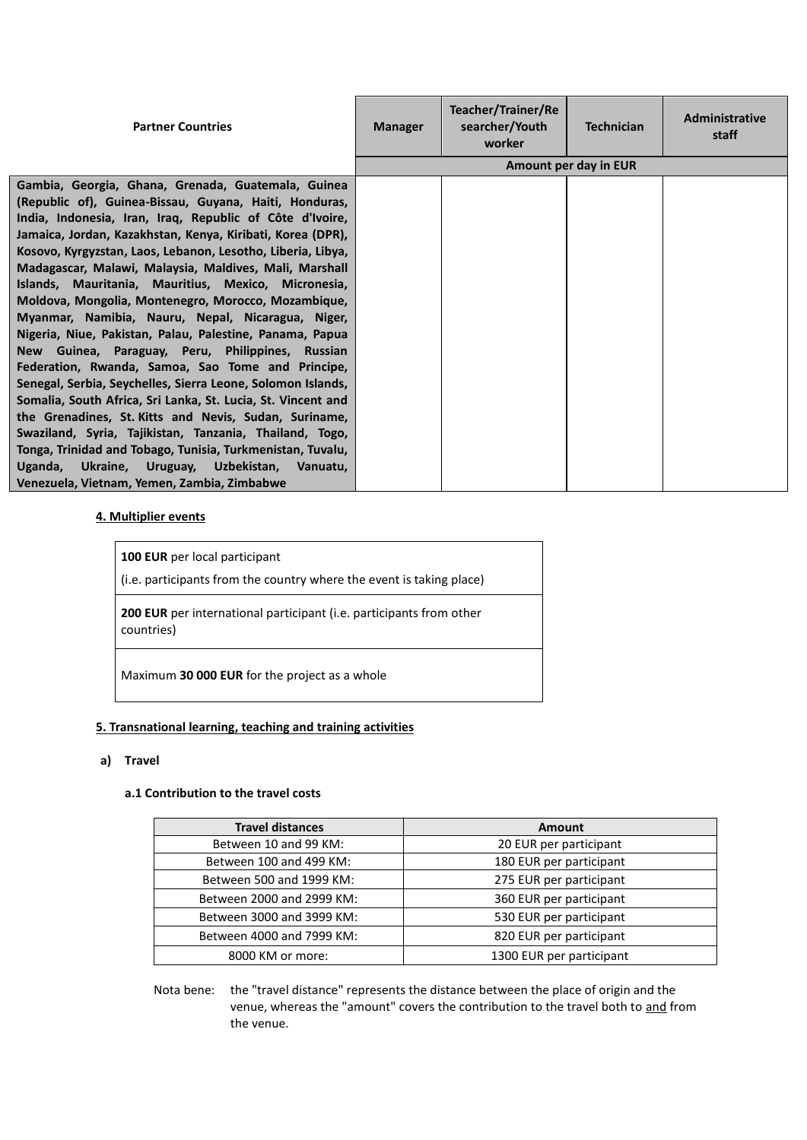| <b>Partner Countries</b>                                                                                                                                                                                                                                                                                                                                                                                                                                                                                                                                                                                                                                                                                                                                                                                                                                                                                                                                                                                                                                                                                                  | <b>Manager</b> | Teacher/Trainer/Re<br>searcher/Youth<br>worker | <b>Technician</b>     | <b>Administrative</b><br>staff |
|---------------------------------------------------------------------------------------------------------------------------------------------------------------------------------------------------------------------------------------------------------------------------------------------------------------------------------------------------------------------------------------------------------------------------------------------------------------------------------------------------------------------------------------------------------------------------------------------------------------------------------------------------------------------------------------------------------------------------------------------------------------------------------------------------------------------------------------------------------------------------------------------------------------------------------------------------------------------------------------------------------------------------------------------------------------------------------------------------------------------------|----------------|------------------------------------------------|-----------------------|--------------------------------|
|                                                                                                                                                                                                                                                                                                                                                                                                                                                                                                                                                                                                                                                                                                                                                                                                                                                                                                                                                                                                                                                                                                                           |                |                                                | Amount per day in EUR |                                |
| Gambia, Georgia, Ghana, Grenada, Guatemala, Guinea<br>(Republic of), Guinea-Bissau, Guyana, Haiti, Honduras,<br>India, Indonesia, Iran, Iraq, Republic of Côte d'Ivoire,<br>Jamaica, Jordan, Kazakhstan, Kenya, Kiribati, Korea (DPR),<br>Kosovo, Kyrgyzstan, Laos, Lebanon, Lesotho, Liberia, Libya,<br>Madagascar, Malawi, Malaysia, Maldives, Mali, Marshall<br>Islands, Mauritania, Mauritius, Mexico, Micronesia,<br>Moldova, Mongolia, Montenegro, Morocco, Mozambique,<br>Myanmar, Namibia, Nauru, Nepal, Nicaragua, Niger,<br>Nigeria, Niue, Pakistan, Palau, Palestine, Panama, Papua<br>New Guinea, Paraguay, Peru, Philippines, Russian<br>Federation, Rwanda, Samoa, Sao Tome and Principe,<br>Senegal, Serbia, Seychelles, Sierra Leone, Solomon Islands,<br>Somalia, South Africa, Sri Lanka, St. Lucia, St. Vincent and<br>the Grenadines, St. Kitts and Nevis, Sudan, Suriname,<br>Swaziland, Syria, Tajikistan, Tanzania, Thailand, Togo,<br>Tonga, Trinidad and Tobago, Tunisia, Turkmenistan, Tuvalu,<br>Uganda, Ukraine, Uruguay, Uzbekistan, Vanuatu,<br>Venezuela, Vietnam, Yemen, Zambia, Zimbabwe |                |                                                |                       |                                |

### **4. Multiplier events**

| 100 EUR per local participant<br>(i.e. participants from the country where the event is taking place) |
|-------------------------------------------------------------------------------------------------------|
| <b>200 EUR</b> per international participant (i.e. participants from other<br>countries)              |
| Maximum 30 000 EUR for the project as a whole                                                         |

#### **5. Transnational learning, teaching and training activities**

#### **a) Travel**

#### **a.1 Contribution to the travel costs**

| <b>Travel distances</b>   | <b>Amount</b>            |
|---------------------------|--------------------------|
| Between 10 and 99 KM:     | 20 EUR per participant   |
| Between 100 and 499 KM:   | 180 EUR per participant  |
| Between 500 and 1999 KM:  | 275 EUR per participant  |
| Between 2000 and 2999 KM: | 360 EUR per participant  |
| Between 3000 and 3999 KM: | 530 EUR per participant  |
| Between 4000 and 7999 KM: | 820 EUR per participant  |
| 8000 KM or more:          | 1300 EUR per participant |

Nota bene: the "travel distance" represents the distance between the place of origin and the venue, whereas the "amount" covers the contribution to the travel both to and from the venue.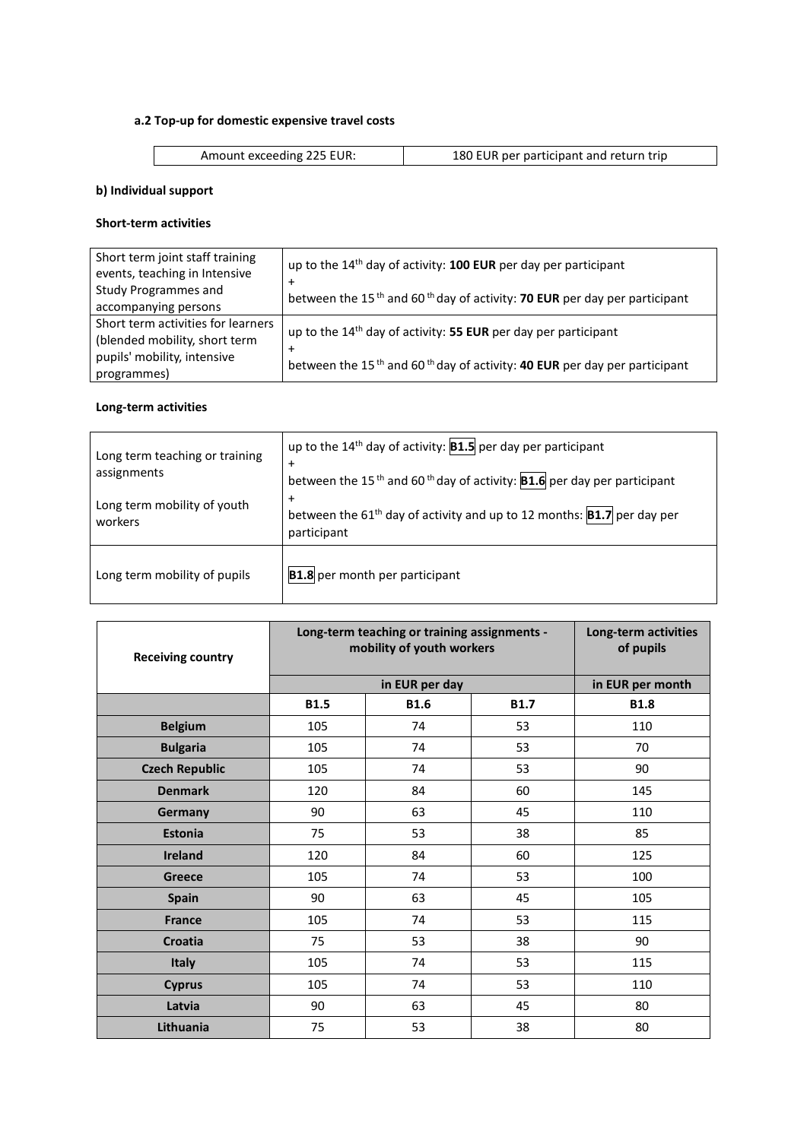## **a.2 Top-up for domestic expensive travel costs**

Amount exceeding 225 EUR: 180 EUR per participant and return trip

## **b) Individual support**

#### **Short-term activities**

| Short term joint staff training<br>events, teaching in Intensive<br><b>Study Programmes and</b> | up to the 14 <sup>th</sup> day of activity: <b>100 EUR</b> per day per participant<br>between the 15 <sup>th</sup> and 60 <sup>th</sup> day of activity: 70 EUR per day per participant |
|-------------------------------------------------------------------------------------------------|-----------------------------------------------------------------------------------------------------------------------------------------------------------------------------------------|
| accompanying persons                                                                            |                                                                                                                                                                                         |
| Short term activities for learners<br>(blended mobility, short term                             | up to the 14 <sup>th</sup> day of activity: 55 EUR per day per participant                                                                                                              |
| pupils' mobility, intensive<br>programmes)                                                      | between the 15 <sup>th</sup> and 60 <sup>th</sup> day of activity: <b>40 EUR</b> per day per participant                                                                                |

## **Long-term activities**

| Long term teaching or training<br>assignments<br>Long term mobility of youth<br>workers | up to the $14th$ day of activity: <b>B1.5</b> per day per participant<br>$\ddot{}$<br>between the 15 <sup>th</sup> and 60 <sup>th</sup> day of activity: <b>B1.6</b> per day per participant<br>$\ddot{}$<br>between the 61 <sup>th</sup> day of activity and up to 12 months: $ B1.7 $ per day per<br>participant |
|-----------------------------------------------------------------------------------------|--------------------------------------------------------------------------------------------------------------------------------------------------------------------------------------------------------------------------------------------------------------------------------------------------------------------|
| Long term mobility of pupils                                                            | <b>B1.8</b> per month per participant                                                                                                                                                                                                                                                                              |

| <b>Receiving country</b> | Long-term teaching or training assignments -<br>mobility of youth workers | Long-term activities<br>of pupils |    |                  |
|--------------------------|---------------------------------------------------------------------------|-----------------------------------|----|------------------|
|                          |                                                                           | in EUR per day                    |    | in EUR per month |
|                          | <b>B1.5</b>                                                               | <b>B1.8</b>                       |    |                  |
| <b>Belgium</b>           | 105                                                                       | 74                                | 53 | 110              |
| <b>Bulgaria</b>          | 105                                                                       | 74                                | 53 | 70               |
| <b>Czech Republic</b>    | 105                                                                       | 74                                | 53 | 90               |
| <b>Denmark</b>           | 120                                                                       | 84                                | 60 | 145              |
| Germany                  | 90                                                                        | 63                                | 45 | 110              |
| <b>Estonia</b>           | 75                                                                        | 53                                | 38 | 85               |
| <b>Ireland</b>           | 120                                                                       | 84                                | 60 | 125              |
| <b>Greece</b>            | 105                                                                       | 74                                | 53 | 100              |
| <b>Spain</b>             | 90                                                                        | 63                                | 45 | 105              |
| <b>France</b>            | 105                                                                       | 74                                | 53 | 115              |
| <b>Croatia</b>           | 75                                                                        | 53                                | 38 | 90               |
| <b>Italy</b>             | 105                                                                       | 74                                | 53 | 115              |
| <b>Cyprus</b>            | 105                                                                       | 74                                | 53 | 110              |
| Latvia                   | 90                                                                        | 63                                | 45 | 80               |
| Lithuania                | 75                                                                        | 53                                | 38 | 80               |